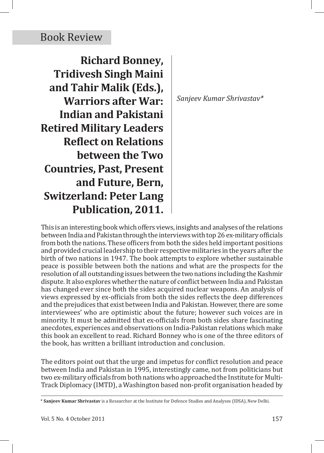## Book Review

**Richard Bonney, Tridivesh Singh Maini and Tahir Malik (Eds.), Warriors after War: Indian and Pakistani Retired Military Leaders Reflect on Relations between the Two Countries, Past, Present and Future, Bern, Switzerland: Peter Lang Publication, 2011.**

*Sanjeev Kumar Shrivastav\**

This is an interesting book which offers views, insights and analyses of the relations between India and Pakistan through the interviews with top 26 ex-military officials from both the nations. These officers from both the sides held important positions and provided crucial leadership to their respective militaries in the years after the birth of two nations in 1947. The book attempts to explore whether sustainable peace is possible between both the nations and what are the prospects for the resolution of all outstanding issues between the two nations including the Kashmir dispute. It also explores whether the nature of conflict between India and Pakistan has changed ever since both the sides acquired nuclear weapons. An analysis of views expressed by ex-officials from both the sides reflects the deep differences and the prejudices that exist between India and Pakistan. However, there are some interviewees' who are optimistic about the future; however such voices are in minority. It must be admitted that ex-officials from both sides share fascinating anecdotes, experiences and observations on India-Pakistan relations which make this book an excellent to read. Richard Bonney who is one of the three editors of the book, has written a brilliant introduction and conclusion.

The editors point out that the urge and impetus for conflict resolution and peace between India and Pakistan in 1995, interestingly came, not from politicians but two ex-military officials from both nations who approached the Institute for Multi-Track Diplomacy (IMTD), a Washington based non-profit organisation headed by

<sup>\*</sup> **Sanjeev Kumar Shrivastav** is a Researcher at the Institute for Defence Studies and Analyses (IDSA), New Delhi.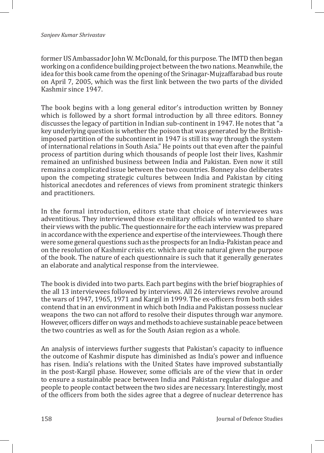former US Ambassador John W. McDonald, for this purpose. The IMTD then began working on a confidence building project between the two nations. Meanwhile, the idea for this book came from the opening of the Srinagar-Mujzaffarabad bus route on April 7, 2005, which was the first link between the two parts of the divided Kashmir since 1947.

The book begins with a long general editor's introduction written by Bonney which is followed by a short formal introduction by all three editors. Bonney discusses the legacy of partition in Indian sub-continent in 1947. He notes that "a key underlying question is whether the poison that was generated by the Britishimposed partition of the subcontinent in 1947 is still its way through the system of international relations in South Asia." He points out that even after the painful process of partition during which thousands of people lost their lives, Kashmir remained an unfinished business between India and Pakistan. Even now it still remains a complicated issue between the two countries. Bonney also deliberates upon the competing strategic cultures between India and Pakistan by citing historical anecdotes and references of views from prominent strategic thinkers and practitioners.

In the formal introduction, editors state that choice of interviewees was adventitious. They interviewed those ex-military officials who wanted to share their views with the public. The questionnaire for the each interview was prepared in accordance with the experience and expertise of the interviewees. Though there were some general questions such as the prospects for an India-Pakistan peace and on the resolution of Kashmir crisis etc. which are quite natural given the purpose of the book. The nature of each questionnaire is such that it generally generates an elaborate and analytical response from the interviewee.

The book is divided into two parts. Each part begins with the brief biographies of the all 13 interviewees followed by interviews. All 26 interviews revolve around the wars of 1947, 1965, 1971 and Kargil in 1999. The ex-officers from both sides contend that in an environment in which both India and Pakistan possess nuclear weapons the two can not afford to resolve their disputes through war anymore. However, officers differ on ways and methods to achieve sustainable peace between the two countries as well as for the South Asian region as a whole.

An analysis of interviews further suggests that Pakistan's capacity to influence the outcome of Kashmir dispute has diminished as India's power and influence has risen. India's relations with the United States have improved substantially in the post-Kargil phase. However, some officials are of the view that in order to ensure a sustainable peace between India and Pakistan regular dialogue and people to people contact between the two sides are necessary. Interestingly, most of the officers from both the sides agree that a degree of nuclear deterrence has